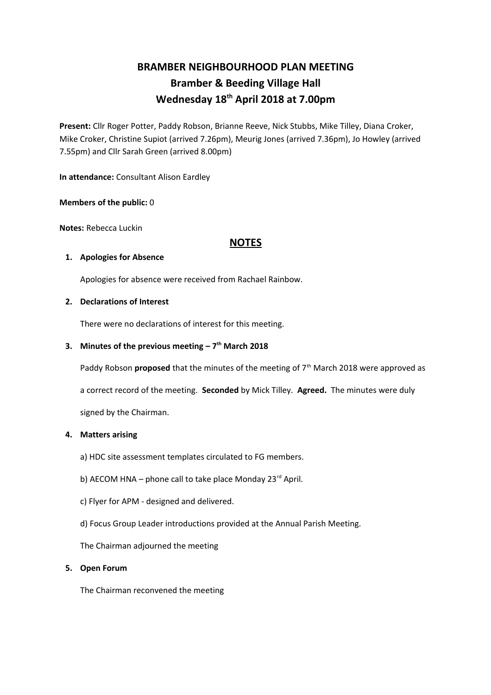# **BRAMBER NEIGHBOURHOOD PLAN MEETING Bramber & Beeding Village Hall Wednesday 18th April 2018 at 7.00pm**

**Present:** Cllr Roger Potter, Paddy Robson, Brianne Reeve, Nick Stubbs, Mike Tilley, Diana Croker, Mike Croker, Christine Supiot (arrived 7.26pm), Meurig Jones (arrived 7.36pm), Jo Howley (arrived 7.55pm) and Cllr Sarah Green (arrived 8.00pm)

**In attendance:** Consultant Alison Eardley

## **Members of the public:** 0

**Notes:** Rebecca Luckin

## **NOTES**

## **1. Apologies for Absence**

Apologies for absence were received from Rachael Rainbow.

## **2. Declarations of Interest**

There were no declarations of interest for this meeting.

## **3. Minutes of the previous meeting – 7th March 2018**

Paddy Robson **proposed** that the minutes of the meeting of 7<sup>th</sup> March 2018 were approved as

a correct record of the meeting. **Seconded** by Mick Tilley. **Agreed.** The minutes were duly

signed by the Chairman.

## **4. Matters arising**

- a) HDC site assessment templates circulated to FG members.
- b) AECOM HNA phone call to take place Monday 23<sup>rd</sup> April.
- c) Flyer for APM designed and delivered.
- d) Focus Group Leader introductions provided at the Annual Parish Meeting.

The Chairman adjourned the meeting

#### **5. Open Forum**

The Chairman reconvened the meeting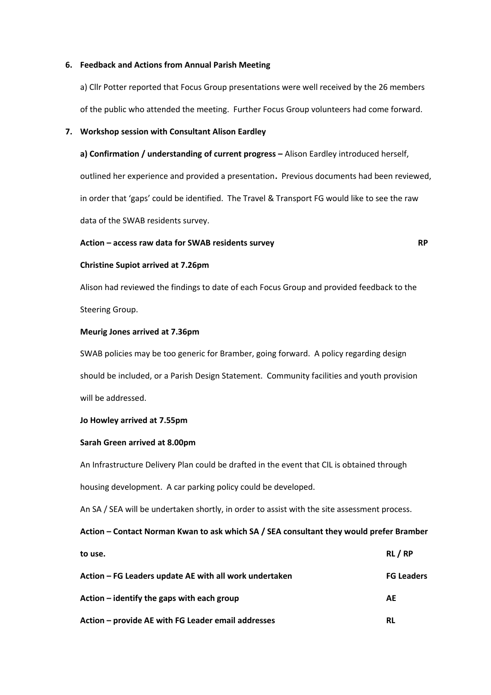#### **6. Feedback and Actions from Annual Parish Meeting**

a) Cllr Potter reported that Focus Group presentations were well received by the 26 members of the public who attended the meeting. Further Focus Group volunteers had come forward.

#### **7. Workshop session with Consultant Alison Eardley**

**a) Confirmation / understanding of current progress –** Alison Eardley introduced herself, outlined her experience and provided a presentation**.** Previous documents had been reviewed, in order that 'gaps' could be identified. The Travel & Transport FG would like to see the raw data of the SWAB residents survey.

#### **Action – access raw data for SWAB residents survey RP**

#### **Christine Supiot arrived at 7.26pm**

Alison had reviewed the findings to date of each Focus Group and provided feedback to the Steering Group.

#### **Meurig Jones arrived at 7.36pm**

SWAB policies may be too generic for Bramber, going forward. A policy regarding design should be included, or a Parish Design Statement. Community facilities and youth provision will be addressed.

#### **Jo Howley arrived at 7.55pm**

#### **Sarah Green arrived at 8.00pm**

An Infrastructure Delivery Plan could be drafted in the event that CIL is obtained through housing development. A car parking policy could be developed.

An SA / SEA will be undertaken shortly, in order to assist with the site assessment process.

**Action – Contact Norman Kwan to ask which SA / SEA consultant they would prefer Bramber** 

| to use.                                                | RL/RP             |
|--------------------------------------------------------|-------------------|
| Action – FG Leaders update AE with all work undertaken | <b>FG Leaders</b> |
| Action $-$ identify the gaps with each group           | AE                |
| Action – provide AE with FG Leader email addresses     | RL                |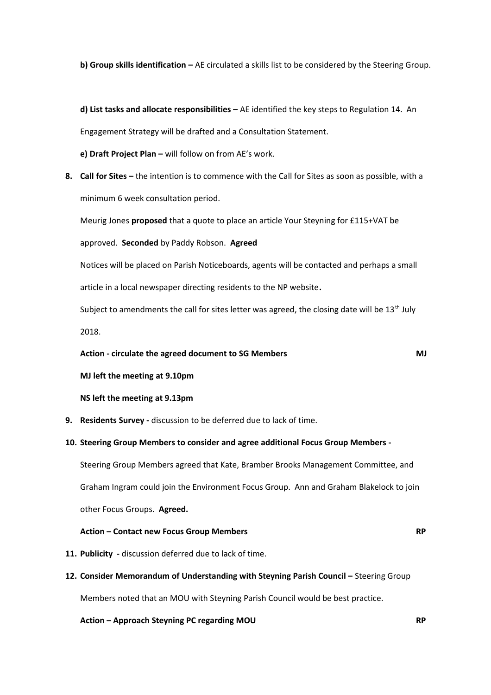**b) Group skills identification –** AE circulated a skills list to be considered by the Steering Group.

**d) List tasks and allocate responsibilities –** AE identified the key steps to Regulation 14. An Engagement Strategy will be drafted and a Consultation Statement.

**e) Draft Project Plan –** will follow on from AE's work.

**8. Call for Sites –** the intention is to commence with the Call for Sites as soon as possible, with a minimum 6 week consultation period.

Meurig Jones **proposed** that a quote to place an article Your Steyning for £115+VAT be

approved. **Seconded** by Paddy Robson. **Agreed**

Notices will be placed on Parish Noticeboards, agents will be contacted and perhaps a small article in a local newspaper directing residents to the NP website**.** 

Subject to amendments the call for sites letter was agreed, the closing date will be  $13<sup>th</sup>$  July 2018.

**Action - circulate the agreed document to SG Members MJ**

**MJ left the meeting at 9.10pm**

**NS left the meeting at 9.13pm**

- **9. Residents Survey** discussion to be deferred due to lack of time.
- **10. Steering Group Members to consider and agree additional Focus Group Members**

Steering Group Members agreed that Kate, Bramber Brooks Management Committee, and Graham Ingram could join the Environment Focus Group. Ann and Graham Blakelock to join other Focus Groups. **Agreed.** 

#### **Action – Contact new Focus Group Members RP**

- **11. Publicity** discussion deferred due to lack of time.
- **12. Consider Memorandum of Understanding with Steyning Parish Council** Steering Group

Members noted that an MOU with Steyning Parish Council would be best practice.

**Action – Approach Steyning PC regarding MOU RP**